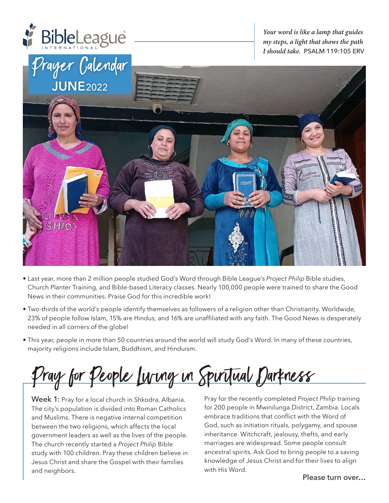

*Your word is like a lamp that guides my steps, a light that shows the path I should take.* PSALM 119:105 ERV



- Last year, more than 2 million people studied God's Word through Bible League's *Project Philip* Bible studies, Church Planter Training, and Bible-based Literacy classes. Nearly 100,000 people were trained to share the Good News in their communities. Praise God for this incredible work!
- Two-thirds of the world's people identify themselves as followers of a religion other than Christianity. Worldwide, 23% of people follow Islam, 15% are Hindus, and 16% are unaffiliated with any faith. The Good News is desperately needed in all corners of the globe!
- This year, people in more than 50 countries around the world will study God's Word. In many of these countries, majority religions include Islam, Buddhism, and Hinduism.

Pray for People Living in Spiritual Darkness

Week 1: Pray for a local church in Shkodra, Albania. The city's population is divided into Roman Catholics and Muslims. There is negative internal competition between the two religions, which affects the local government leaders as well as the lives of the people. The church recently started a *Project Philip* Bible study with 100 children. Pray these children believe in Jesus Christ and share the Gospel with their families and neighbors.

Pray for the recently completed *Project Philip* training for 200 people in Mwinilunga District, Zambia. Locals embrace traditions that conflict with the Word of God, such as initiation rituals, polygamy, and spouse inheritance. Witchcraft, jealousy, thefts, and early marriages are widespread. Some people consult ancestral spirits. Ask God to bring people to a saving knowledge of Jesus Christ and for their lives to align with His Word.